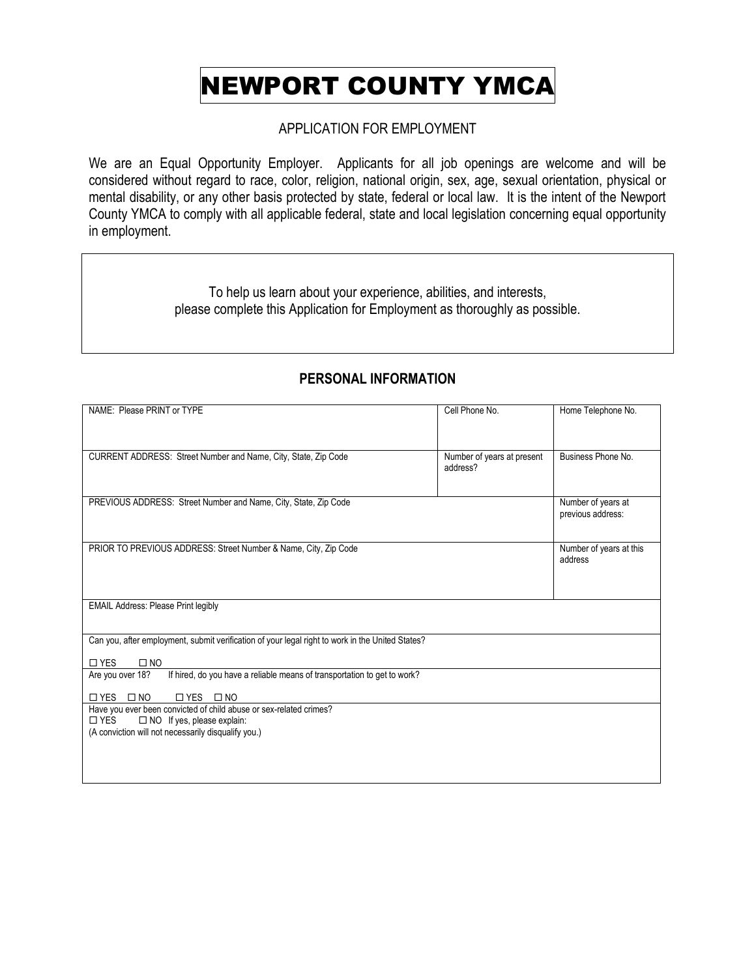# NEWPORT COUNTY YMCA

### APPLICATION FOR EMPLOYMENT

We are an Equal Opportunity Employer. Applicants for all job openings are welcome and will be considered without regard to race, color, religion, national origin, sex, age, sexual orientation, physical or mental disability, or any other basis protected by state, federal or local law. It is the intent of the Newport County YMCA to comply with all applicable federal, state and local legislation concerning equal opportunity in employment.

> To help us learn about your experience, abilities, and interests, please complete this Application for Employment as thoroughly as possible.

| NAME: Please PRINT or TYPE                                                                       | Cell Phone No.             | Home Telephone No.      |
|--------------------------------------------------------------------------------------------------|----------------------------|-------------------------|
|                                                                                                  |                            |                         |
|                                                                                                  |                            |                         |
|                                                                                                  |                            |                         |
| CURRENT ADDRESS: Street Number and Name, City, State, Zip Code                                   | Number of years at present | Business Phone No.      |
|                                                                                                  | address?                   |                         |
|                                                                                                  |                            |                         |
|                                                                                                  |                            |                         |
| PREVIOUS ADDRESS: Street Number and Name, City, State, Zip Code                                  |                            | Number of years at      |
|                                                                                                  |                            | previous address:       |
|                                                                                                  |                            |                         |
|                                                                                                  |                            |                         |
| PRIOR TO PREVIOUS ADDRESS: Street Number & Name, City, Zip Code                                  |                            | Number of years at this |
|                                                                                                  |                            | address                 |
|                                                                                                  |                            |                         |
|                                                                                                  |                            |                         |
|                                                                                                  |                            |                         |
| <b>EMAIL Address: Please Print legibly</b>                                                       |                            |                         |
|                                                                                                  |                            |                         |
|                                                                                                  |                            |                         |
| Can you, after employment, submit verification of your legal right to work in the United States? |                            |                         |
|                                                                                                  |                            |                         |
| $\Box$ YES<br>$\square$ NO                                                                       |                            |                         |
| If hired, do you have a reliable means of transportation to get to work?<br>Are you over 18?     |                            |                         |
|                                                                                                  |                            |                         |
| $\Box$ YES $\Box$ NO<br>$\Box$ YES $\Box$ NO                                                     |                            |                         |
| Have you ever been convicted of child abuse or sex-related crimes?                               |                            |                         |
| □ NO If yes, please explain:<br>$\square$ YES                                                    |                            |                         |
| (A conviction will not necessarily disqualify you.)                                              |                            |                         |
|                                                                                                  |                            |                         |
|                                                                                                  |                            |                         |
|                                                                                                  |                            |                         |
|                                                                                                  |                            |                         |

### **PERSONAL INFORMATION**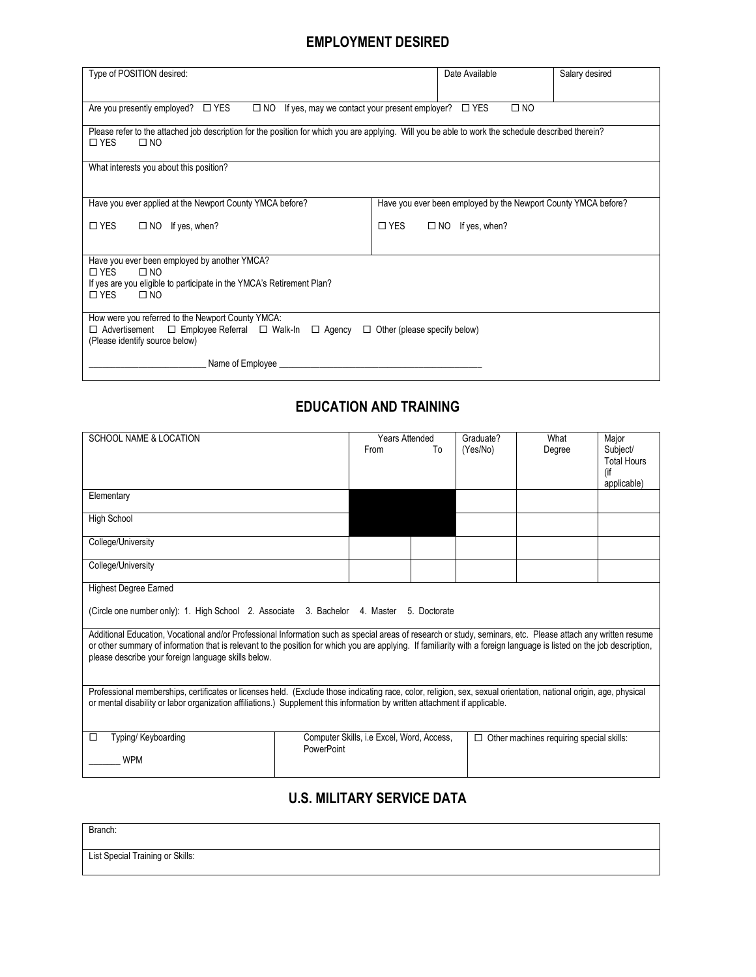### **EMPLOYMENT DESIRED**

|                                                                                                                                                    |  | Date Available                                                 |                |  |
|----------------------------------------------------------------------------------------------------------------------------------------------------|--|----------------------------------------------------------------|----------------|--|
| Type of POSITION desired:                                                                                                                          |  |                                                                | Salary desired |  |
|                                                                                                                                                    |  |                                                                |                |  |
| $\square$ NO<br>Are you presently employed? $\Box$ YES<br>$\square$ NO<br>$\square$ YES<br>If yes, may we contact your present employer?           |  |                                                                |                |  |
| Please refer to the attached job description for the position for which you are applying. Will you be able to work the schedule described therein? |  |                                                                |                |  |
| $\Box$ NO<br>$\Box$ YES                                                                                                                            |  |                                                                |                |  |
| What interests you about this position?                                                                                                            |  |                                                                |                |  |
|                                                                                                                                                    |  |                                                                |                |  |
|                                                                                                                                                    |  |                                                                |                |  |
| Have you ever applied at the Newport County YMCA before?                                                                                           |  | Have you ever been employed by the Newport County YMCA before? |                |  |
| $\Box$ YES<br>$\square$ YES<br>$\Box$ NO If yes, when?<br>$\Box$ NO If yes, when?                                                                  |  |                                                                |                |  |
|                                                                                                                                                    |  |                                                                |                |  |
| Have you ever been employed by another YMCA?                                                                                                       |  |                                                                |                |  |
| $\Box$ YES<br>$\Box$ NO                                                                                                                            |  |                                                                |                |  |
| If yes are you eligible to participate in the YMCA's Retirement Plan?                                                                              |  |                                                                |                |  |
| $\Box$ YFS<br>$\square$ NO                                                                                                                         |  |                                                                |                |  |
| How were you referred to the Newport County YMCA:                                                                                                  |  |                                                                |                |  |
| $\Box$ Advertisement $\Box$ Employee Referral $\Box$ Walk-In $\Box$ Agency $\Box$ Other (please specify below)<br>(Please identify source below)   |  |                                                                |                |  |
| Name of Employee                                                                                                                                   |  |                                                                |                |  |

# **EDUCATION AND TRAINING**

| <b>SCHOOL NAME &amp; LOCATION</b>                                                                                                                                                                                                                                                                                                                                                            | From                                                    | <b>Years Attended</b><br>To | Graduate?<br>(Yes/No) | What<br>Degree                           | Major<br>Subject/<br><b>Total Hours</b><br>(if<br>applicable) |
|----------------------------------------------------------------------------------------------------------------------------------------------------------------------------------------------------------------------------------------------------------------------------------------------------------------------------------------------------------------------------------------------|---------------------------------------------------------|-----------------------------|-----------------------|------------------------------------------|---------------------------------------------------------------|
| Elementary                                                                                                                                                                                                                                                                                                                                                                                   |                                                         |                             |                       |                                          |                                                               |
| High School                                                                                                                                                                                                                                                                                                                                                                                  |                                                         |                             |                       |                                          |                                                               |
| College/University                                                                                                                                                                                                                                                                                                                                                                           |                                                         |                             |                       |                                          |                                                               |
| College/University                                                                                                                                                                                                                                                                                                                                                                           |                                                         |                             |                       |                                          |                                                               |
| <b>Highest Degree Earned</b>                                                                                                                                                                                                                                                                                                                                                                 |                                                         |                             |                       |                                          |                                                               |
| (Circle one number only): 1. High School 2. Associate 3. Bachelor 4. Master                                                                                                                                                                                                                                                                                                                  |                                                         | 5. Doctorate                |                       |                                          |                                                               |
| Additional Education, Vocational and/or Professional Information such as special areas of research or study, seminars, etc. Please attach any written resume<br>or other summary of information that is relevant to the position for which you are applying. If familiarity with a foreign language is listed on the job description,<br>please describe your foreign language skills below. |                                                         |                             |                       |                                          |                                                               |
| Professional memberships, certificates or licenses held. (Exclude those indicating race, color, religion, sex, sexual orientation, national origin, age, physical<br>or mental disability or labor organization affiliations.) Supplement this information by written attachment if applicable.                                                                                              |                                                         |                             |                       |                                          |                                                               |
| Typing/ Keyboarding<br>$\Box$<br><b>WPM</b>                                                                                                                                                                                                                                                                                                                                                  | Computer Skills, i.e Excel, Word, Access,<br>PowerPoint |                             | □                     | Other machines requiring special skills: |                                                               |

# **U.S. MILITARY SERVICE DATA**

| Branch:                          |  |  |
|----------------------------------|--|--|
|                                  |  |  |
| List Special Training or Skills: |  |  |
|                                  |  |  |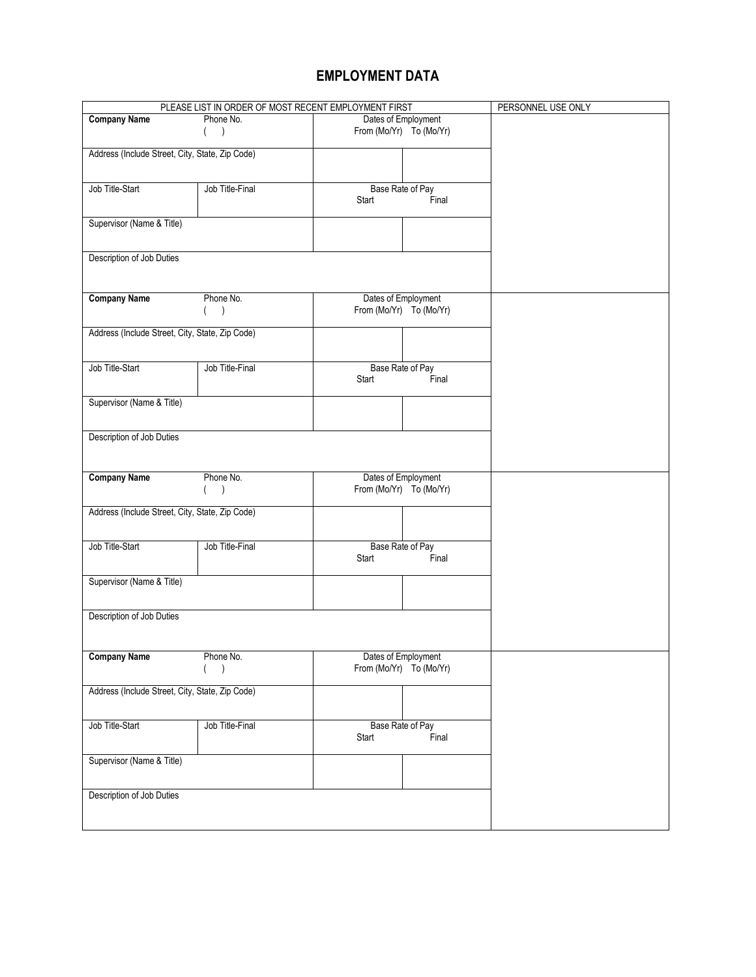# **EMPLOYMENT DATA**

| PLEASE LIST IN ORDER OF MOST RECENT EMPLOYMENT FIRST |                                  |                         | PERSONNEL USE ONLY |  |
|------------------------------------------------------|----------------------------------|-------------------------|--------------------|--|
| <b>Company Name</b>                                  | Dates of Employment<br>Phone No. |                         |                    |  |
|                                                      | $\lambda$                        | From (Mo/Yr) To (Mo/Yr) |                    |  |
|                                                      |                                  |                         |                    |  |
| Address (Include Street, City, State, Zip Code)      |                                  |                         |                    |  |
|                                                      |                                  |                         |                    |  |
| Job Title-Start                                      | Job Title-Final                  | Base Rate of Pay        |                    |  |
|                                                      |                                  | Start                   | Final              |  |
|                                                      |                                  |                         |                    |  |
| Supervisor (Name & Title)                            |                                  |                         |                    |  |
|                                                      |                                  |                         |                    |  |
|                                                      |                                  |                         |                    |  |
| Description of Job Duties                            |                                  |                         |                    |  |
|                                                      |                                  |                         |                    |  |
|                                                      |                                  |                         |                    |  |
| <b>Company Name</b>                                  | Phone No.                        | Dates of Employment     |                    |  |
|                                                      | $\lambda$                        | From (Mo/Yr) To (Mo/Yr) |                    |  |
|                                                      |                                  |                         |                    |  |
| Address (Include Street, City, State, Zip Code)      |                                  |                         |                    |  |
|                                                      |                                  |                         |                    |  |
|                                                      |                                  |                         |                    |  |
| Job Title-Start                                      | Job Title-Final                  | Base Rate of Pay        |                    |  |
|                                                      |                                  | Start                   | Final              |  |
|                                                      |                                  |                         |                    |  |
| Supervisor (Name & Title)                            |                                  |                         |                    |  |
|                                                      |                                  |                         |                    |  |
| Description of Job Duties                            |                                  |                         |                    |  |
|                                                      |                                  |                         |                    |  |
|                                                      |                                  |                         |                    |  |
|                                                      |                                  |                         |                    |  |
| <b>Company Name</b>                                  | Phone No.                        | Dates of Employment     |                    |  |
|                                                      | $\lambda$                        | From (Mo/Yr) To (Mo/Yr) |                    |  |
|                                                      |                                  |                         |                    |  |
| Address (Include Street, City, State, Zip Code)      |                                  |                         |                    |  |
|                                                      |                                  |                         |                    |  |
| Job Title-Start                                      | Job Title-Final                  | Base Rate of Pay        |                    |  |
|                                                      |                                  | Start                   | Final              |  |
|                                                      |                                  |                         |                    |  |
| Supervisor (Name & Title)                            |                                  |                         |                    |  |
|                                                      |                                  |                         |                    |  |
|                                                      |                                  |                         |                    |  |
| Description of Job Duties                            |                                  |                         |                    |  |
|                                                      |                                  |                         |                    |  |
|                                                      |                                  |                         |                    |  |
| <b>Company Name</b>                                  | Phone No.                        | Dates of Employment     |                    |  |
|                                                      | $\lambda$                        | From (Mo/Yr) To (Mo/Yr) |                    |  |
|                                                      |                                  |                         |                    |  |
| Address (Include Street, City, State, Zip Code)      |                                  |                         |                    |  |
|                                                      |                                  |                         |                    |  |
|                                                      |                                  |                         |                    |  |
| Job Title-Start                                      | Job Title-Final                  | Base Rate of Pay        |                    |  |
|                                                      |                                  | Start                   | Final              |  |
|                                                      |                                  |                         |                    |  |
| Supervisor (Name & Title)                            |                                  |                         |                    |  |
|                                                      |                                  |                         |                    |  |
|                                                      |                                  |                         |                    |  |
| Description of Job Duties                            |                                  |                         |                    |  |
|                                                      |                                  |                         |                    |  |
|                                                      |                                  |                         |                    |  |